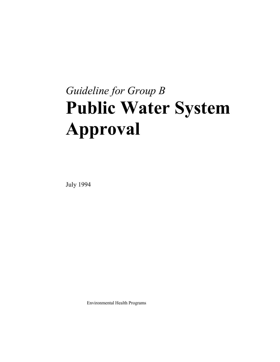# *Guideline for Group B*  **Public Water System Approval**

July 1994

Environmental Health Programs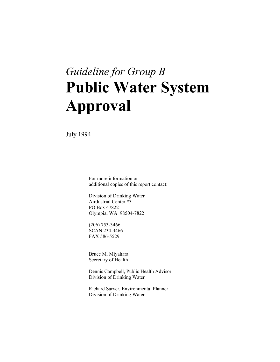## *Guideline for Group B*  **Public Water System Approval**

July 1994

 For more information or additional copies of this report contact:

 Division of Drinking Water Airdustrial Center #3 PO Box 47822 Olympia, WA 98504-7822

 (206) 753-3466 SCAN 234-3466 FAX 586-5529

 Bruce M. Miyahara Secretary of Health

 Dennis Campbell, Public Health Advisor Division of Drinking Water

 Richard Sarver, Environmental Planner Division of Drinking Water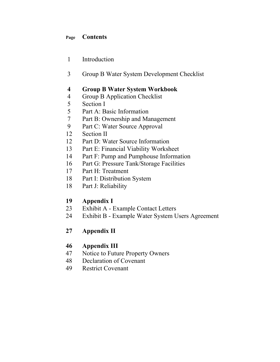## **Page Contents**

- 1 Introduction
- 3 Group B Water System Development Checklist

## **4 Group B Water System Workbook**

- 4 Group B Application Checklist
- 5 Section I
- 5 Part A: Basic Information
- 7 Part B: Ownership and Management
- 9 Part C: Water Source Approval
- 12 Section II
- 12 Part D: Water Source Information
- 13 Part E: Financial Viability Worksheet
- 14 Part F: Pump and Pumphouse Information
- 16 Part G: Pressure Tank/Storage Facilities
- 17 Part H: Treatment
- 18 Part I: Distribution System
- 18 Part J: Reliability

## **19 Appendix I**

- 23 Exhibit A Example Contact Letters
- 24 Exhibit B Example Water System Users Agreement

## **27 Appendix II**

## **46 Appendix III**

- 47 Notice to Future Property Owners
- 48 Declaration of Covenant
- 49 Restrict Covenant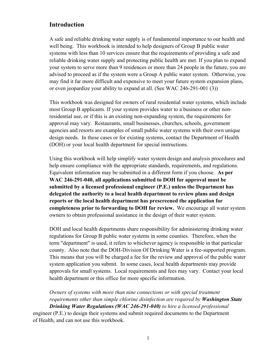## **Introduction**

A safe and reliable drinking water supply is of fundamental importance to our health and well being. This workbook is intended to help designers of Group B public water systems with less than 10 services ensure that the requirements of providing a safe and reliable drinking water supply and protecting public health are met. If you plan to expand your system to serve more than 9 residences or more than 24 people in the future, you are advised to proceed as if the system were a Group A public water system. Otherwise, you may find it far more difficult and expensive to meet your future system expansion plans, or even jeopardize your ability to expand at all. (See WAC 246-291-001 (3))

This workbook was designed for owners of rural residential water systems, which include most Group B applicants. If your system provides water to a business or other nonresidential use, or if this is an existing non-expanding system, the requirements for approval may vary. Restaurants, small businesses, churches, schools, government agencies and resorts are examples of small public water systems with their own unique design needs. In these cases or for existing systems, contact the Department of Health (DOH) or your local health department for special instructions.

Using this workbook will help simplify water system design and analysis procedures and help ensure compliance with the appropriate standards, requirements, and regulations. Equivalent information may be submitted in a different form if you choose. **As per WAC 246-291-040, all applications submitted to DOH for approval must be submitted by a licensed professional engineer (P.E.) unless the Department has delegated the authority to a local health department to review plans and design reports or the local health department has prescreened the application for completeness prior to forwarding to DOH for review.** We encourage all water system owners to obtain professional assistance in the design of their water system.

DOH and local health departments share responsibility for administering drinking water regulations for Group B public water systems in some counties. Therefore, when the term "department" is used, it refers to whichever agency is responsible in that particular county. Also note that the DOH-Division Of Drinking Water is a fee-supported program. This means that you will be charged a fee for the review and approval of the public water system application you submit. In some cases, local health departments may provide approvals for small systems. Local requirements and fees may vary. Contact your local health department or this office for more specific information.

*Owners of systems with more than nine connections or with special treatment requirements other than simple chlorine disinfection are required by Washington State Drinking Water Regulations (WAC 246-291-040) to hire a licensed professional*  engineer (P.E.) to design their systems and submit required documents to the Department of Health, and can not use this workbook.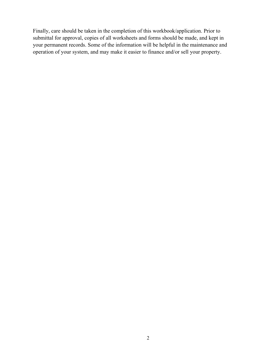Finally, care should be taken in the completion of this workbook/application. Prior to submittal for approval, copies of all worksheets and forms should be made, and kept in your permanent records. Some of the information will be helpful in the maintenance and operation of your system, and may make it easier to finance and/or sell your property.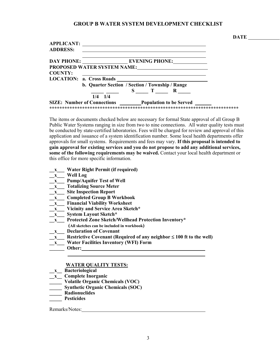#### **GROUP B WATER SYSTEM DEVELOPMENT CHECKLIST**

| <b>APPLICANT:</b><br><b>ADDRESS:</b> |                                                     |
|--------------------------------------|-----------------------------------------------------|
| <b>DAY PHONE:</b>                    | EVENING PHONE:                                      |
|                                      | <b>PROPOSED WATER SYSTEM NAME:</b>                  |
| <b>COUNTY:</b>                       |                                                     |
|                                      | <b>LOCATION: a. Cross Roads</b>                     |
|                                      | b. Quarter Section / Section / Township / Range     |
|                                      | S<br>$\mathbf T$<br>R                               |
|                                      | $1/4$ $1/4$                                         |
|                                      | SIZE: Number of Connections Population to be Served |

The items or documents checked below are necessary for formal State approval of all Group B Public Water Systems ranging in size from two to nine connections. All water quality tests must be conducted by state-certified laboratories. Fees will be charged for review and approval of this application and issuance of a system identification number. Some local health departments offer approvals for small systems. Requirements and fees may vary. **If this proposal is intended to gain approval for existing services and you do not propose to add any additional services, some of the following requirements may be waived.** Contact your local health department or this office for more specific information.

- **\_\_x\_\_\_ Water Right Permit (if required)**
- **\_\_x\_\_\_ Well Log**
- **\_\_x\_\_\_ Pump/Aquifer Test of Well**
- **\_\_x\_\_\_ Totalizing Source Meter**
- **\_\_x\_\_\_ Site Inspection Report**
- **\_\_x\_\_\_ Completed Group B Workbook**
- **\_\_x\_\_\_ Financial Viability Worksheet**
- **\_\_x\_\_\_ Vicinity and Service Area Sketch\***
- **\_\_x\_\_\_ System Layout Sketch\***
- **\_\_x\_\_\_ Protected Zone Sketch/Wellhead Protection Inventory\***
- **(All sketches can be included in workbook)**
- **\_\_x\_\_\_ Declaration of Covenant**
- **\_\_x\_\_\_ Restrictive Covenant (Required of any neighbor** ≤ **100 ft to the well)**
- **\_\_x\_\_\_ Water Facilities Inventory (WFI) Form**
- **\_\_\_\_\_\_ Other:**

#### **WATER QUALITY TESTS:**

- **\_\_x\_\_ Bacteriological**
- **\_\_x\_\_ Complete Inorganic**
- **\_\_\_\_\_ Volatile Organic Chemicals (VOC)**
- **\_\_\_\_\_ Synthetic Organic Chemicals (SOC)**
- **\_\_\_\_\_ Radionuclides**
- **\_\_\_\_\_ Pesticides**

Remarks/Notes: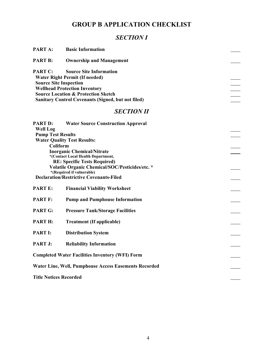## **GROUP B APPLICATION CHECKLIST**

## *SECTION I*

| PART A:                                  | <b>Basic Information</b>                                                                                                                                          |  |
|------------------------------------------|-------------------------------------------------------------------------------------------------------------------------------------------------------------------|--|
| <b>PART B:</b>                           | <b>Ownership and Management</b>                                                                                                                                   |  |
| PART C:<br><b>Source Site Inspection</b> | <b>Source Site Information</b><br><b>Water Right Permit (If needed)</b><br><b>Wellhead Protection Inventory</b><br><b>Source Location &amp; Protection Sketch</b> |  |
|                                          | <b>Sanitary Control Covenants (Signed, but not filed)</b><br><b>SECTION II</b>                                                                                    |  |
|                                          |                                                                                                                                                                   |  |
| <b>PART D:</b><br><b>Well Log</b>        | <b>Water Source Construction Approval</b>                                                                                                                         |  |
| <b>Pump Test Results</b>                 |                                                                                                                                                                   |  |
|                                          | <b>Water Quality Test Results:</b>                                                                                                                                |  |
| Coliform                                 |                                                                                                                                                                   |  |
|                                          | <b>Inorganic Chemical/Nitrate</b>                                                                                                                                 |  |
|                                          | *(Contact Local Health Department,                                                                                                                                |  |
|                                          | <b>RE: Specific Tests Required)</b>                                                                                                                               |  |
|                                          | Volatile Organic Chemical/SOC/Pesticides/etc. *<br>*(Required if vulnerable)                                                                                      |  |
|                                          | <b>Declaration/Restrictive Covenants-Filed</b>                                                                                                                    |  |
|                                          |                                                                                                                                                                   |  |
| <b>PART E:</b>                           | <b>Financial Viability Worksheet</b>                                                                                                                              |  |
| <b>PART F:</b>                           | <b>Pump and Pumphouse Information</b>                                                                                                                             |  |
| <b>PART G:</b>                           | <b>Pressure Tank/Storage Facilities</b>                                                                                                                           |  |
| <b>PART H:</b>                           | <b>Treatment (If applicable)</b>                                                                                                                                  |  |
| <b>PART I:</b>                           | <b>Distribution System</b>                                                                                                                                        |  |
| PART J:                                  | <b>Reliability Information</b>                                                                                                                                    |  |
|                                          | <b>Completed Water Facilities Inventory (WFI) Form</b>                                                                                                            |  |
|                                          | <b>Water Line, Well, Pumphouse Access Easements Recorded</b>                                                                                                      |  |
| <b>Title Notices Recorded</b>            |                                                                                                                                                                   |  |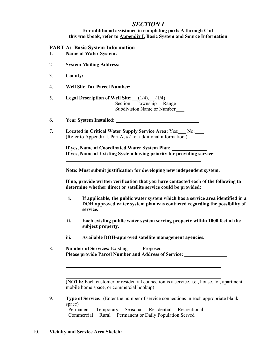## *SECTION I*

#### **For additional assistance in completing parts A through C of this workbook, refer to Appendix I, Basic System and Source Information**

#### **PART A: Basic System Information**

| 1. |      | 1 ART A. Dasit bystem 111101 mation                                                                                                                                      |
|----|------|--------------------------------------------------------------------------------------------------------------------------------------------------------------------------|
| 2. |      |                                                                                                                                                                          |
| 3. |      |                                                                                                                                                                          |
| 4. |      | Well Site Tax Parcel Number:                                                                                                                                             |
| 5. |      | Legal Description of Well Site: (1/4), (1/4)<br>Section Township Range<br>Subdivision Name or Number                                                                     |
| 6. |      | <b>Year System Installed:</b>                                                                                                                                            |
| 7. |      | Located in Critical Water Supply Service Area: Yes: No:<br>(Refer to Appendix I, Part A, #2 for additional information.)                                                 |
|    |      | If yes, Name of Coordinated Water System Plan: ___________<br>If yes, Name of Existing System having priority for providing service:                                     |
|    |      | Note: Must submit justification for developing new independent system.                                                                                                   |
|    |      | If no, provide written verification that you have contacted each of the following to<br>determine whether direct or satellite service could be provided:                 |
|    | i.   | If applicable, the public water system which has a service area identified in a<br>DOH approved water system plan was contacted regarding the possibility of<br>service. |
|    | ii.  | Each existing public water system serving property within 1000 feet of the<br>subject property.                                                                          |
|    | iii. | Available DOH-approved satellite management agencies.                                                                                                                    |
|    |      |                                                                                                                                                                          |

8. **Number of Services:** Existing Proposed  **Please provide Parcel Number and Address of Service:**

 (**NOTE:** Each customer or residential connection is a service, i.e., house, lot, apartment, mobile home space, or commercial hookup)

<u> 1989 - Johann Stoff, deutscher Stoffen und der Stoffen und der Stoffen und der Stoffen und der Stoffen und der</u> 

9. **Type of Service:** (Enter the number of service connections in each appropriate blank space) Permanent\_Temporary\_Seasonal\_Residential\_Recreational\_

Commercial Rural Permanent or Daily Population Served

#### 10. **Vicinity and Service Area Sketch:**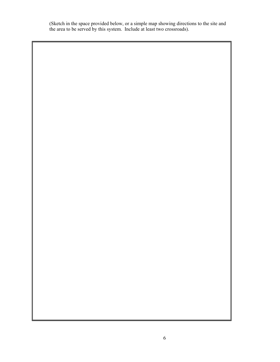(Sketch in the space provided below, or a simple map showing directions to the site and the area to be served by this system. Include at least two crossroads).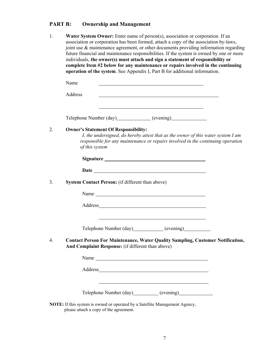## **PART B: Ownership and Management**

| 1. | Water System Owner: Enter name of person(s), association or corporation. If an<br>association or corporation has been formed, attach a copy of the association by-laws,<br>joint use & maintenance agreement, or other documents providing information regarding<br>future financial and maintenance responsibilities. If the system is owned by one or more<br>individuals, the owner(s) must attach and sign a statement of responsibility or<br>complete Item #2 below for any maintenance or repairs involved in the continuing<br>operation of the system. See Appendix I, Part B for additional information. |
|----|--------------------------------------------------------------------------------------------------------------------------------------------------------------------------------------------------------------------------------------------------------------------------------------------------------------------------------------------------------------------------------------------------------------------------------------------------------------------------------------------------------------------------------------------------------------------------------------------------------------------|
|    | Name                                                                                                                                                                                                                                                                                                                                                                                                                                                                                                                                                                                                               |
|    | Address<br><u> 1989 - Johann Barbara, martxa alemaniar arg</u>                                                                                                                                                                                                                                                                                                                                                                                                                                                                                                                                                     |
|    | <u> 1989 - Johann Barbara, martin amerikan basar dan basa dan basa dan basa dan basa dan basa dan basa dan basa</u><br>Telephone Number (day) (evening)                                                                                                                                                                                                                                                                                                                                                                                                                                                            |
| 2. | <b>Owner's Statement Of Responsibility:</b><br>I, the undersigned, do hereby attest that as the owner of this water system I am<br>responsible for any maintenance or repairs involved in the continuing operation<br>of this system                                                                                                                                                                                                                                                                                                                                                                               |
|    |                                                                                                                                                                                                                                                                                                                                                                                                                                                                                                                                                                                                                    |
|    |                                                                                                                                                                                                                                                                                                                                                                                                                                                                                                                                                                                                                    |
| 3. | System Contact Person: (if different than above)                                                                                                                                                                                                                                                                                                                                                                                                                                                                                                                                                                   |
|    |                                                                                                                                                                                                                                                                                                                                                                                                                                                                                                                                                                                                                    |
|    | Address and the state of the state of the state of the state of the state of the state of the state of the state of the state of the state of the state of the state of the state of the state of the state of the state of th                                                                                                                                                                                                                                                                                                                                                                                     |
|    | Telephone Number (day) (evening)                                                                                                                                                                                                                                                                                                                                                                                                                                                                                                                                                                                   |
| 4. | <b>Contact Person For Maintenance, Water Quality Sampling, Customer Notification,</b><br>And Complaint Response: (if different than above)                                                                                                                                                                                                                                                                                                                                                                                                                                                                         |
|    | Name                                                                                                                                                                                                                                                                                                                                                                                                                                                                                                                                                                                                               |
|    |                                                                                                                                                                                                                                                                                                                                                                                                                                                                                                                                                                                                                    |
|    | Telephone Number (day) (evening)                                                                                                                                                                                                                                                                                                                                                                                                                                                                                                                                                                                   |
|    | NOTE: If this system is owned or operated by a Satellite Management Agency,                                                                                                                                                                                                                                                                                                                                                                                                                                                                                                                                        |

please attach a copy of the agreement.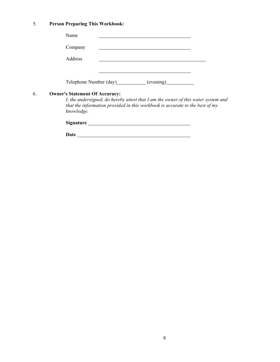## 5. **Person Preparing This Workbook:**

|    | Name                                                |                                                                                                                                                                                                                                |
|----|-----------------------------------------------------|--------------------------------------------------------------------------------------------------------------------------------------------------------------------------------------------------------------------------------|
|    | Company                                             |                                                                                                                                                                                                                                |
|    | Address                                             |                                                                                                                                                                                                                                |
|    |                                                     |                                                                                                                                                                                                                                |
|    |                                                     | Telephone Number (day) (evening)                                                                                                                                                                                               |
| 6. | <b>Owner's Statement Of Accuracy:</b><br>knowledge. | I, the undersigned, do hereby attest that I am the owner of this water system and<br>that the information provided in this workbook is accurate to the best of my                                                              |
|    |                                                     | Signature Signature Signature Signature Signature Signature Signature Signature Signature Signature Signature Signature Signature Signature Signature Signature Signature Signature Signature Signature Signature Signature Si |
|    | <b>Date</b>                                         |                                                                                                                                                                                                                                |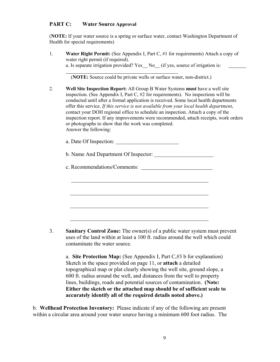#### **PART C: Water Source Approval**

l

(**NOTE:** If your water source is a spring or surface water, contact Washington Department of Health for special requirements)

1. **Water Right Permit:** (See Appendix I, Part C, #1 for requirements) Attach a copy of water right permit (if required). a. Is separate irrigation provided? Yes  $No$  (if yes, source of irrigation is:

(**NOTE:** Source could be private wells or surface water, non-district.)

2. **Well Site Inspection Report:** All Group B Water Systems **must** have a well site inspection. (See Appendix I, Part C, #2 for requirements). No inspections will be conducted until after a formal application is received. Some local health departments offer this service. *If this service is not available from your local health department*, contact your DOH regional office to schedule an inspection. Attach a copy of the inspection report. If any improvements were recommended, attach receipts, work orders or photographs to show that the work was completed. Answer the following:

a. Date Of Inspection:

b. Name And Department Of Inspector:

c. Recommendations/Comments:

3. **Sanitary Control Zone:** The owner(s) of a public water system must prevent uses of the land within at least a 100 ft. radius around the well which could contaminate the water source.

 a. **Site Protection Map:** (See Appendix I, Part C,#3 b for explanation) Sketch in the space provided on page 11, or **attach** a detailed topographical map or plat clearly showing the well site, ground slope, a 600 ft. radius around the well, and distances from the well to property lines, buildings, roads and potential sources of contamination. **(Note: Either the sketch or the attached map should be of sufficient scale to accurately identify all of the required details noted above.)**

b. **Wellhead Protection Inventory:** Please indicate if any of the following are present within a circular area around your water source having a minimum 600 foot radius. The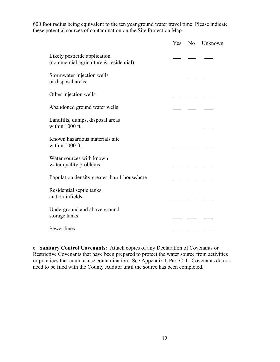600 foot radius being equivalent to the ten year ground water travel time. Please indicate these potential sources of contamination on the Site Protection Map.

|                                                                        | Yes | No | Unknown |
|------------------------------------------------------------------------|-----|----|---------|
| Likely pesticide application<br>(commercial agriculture & residential) |     |    |         |
| Stormwater injection wells<br>or disposal areas                        |     |    |         |
| Other injection wells                                                  |     |    |         |
| Abandoned ground water wells                                           |     |    |         |
| Landfills, dumps, disposal areas<br>within 1000 ft.                    |     |    |         |
| Known hazardous materials site<br>within 1000 ft.                      |     |    |         |
| Water sources with known<br>water quality problems                     |     |    |         |
| Population density greater than 1 house/acre                           |     |    |         |
| Residential septic tanks<br>and drainfields                            |     |    |         |
| Underground and above ground<br>storage tanks                          |     |    |         |
| Sewer lines                                                            |     |    |         |

c. **Sanitary Control Covenants:** Attach copies of any Declaration of Covenants or Restrictive Covenants that have been prepared to protect the water source from activities or practices that could cause contamination. See Appendix I, Part C-4. Covenants do not need to be filed with the County Auditor until the source has been completed.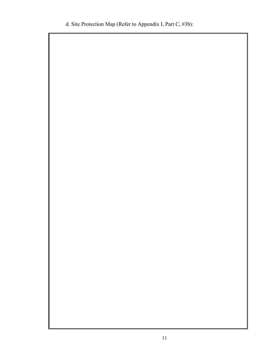d. Site Protection Map (Refer to Appendix I, Part C, #3b):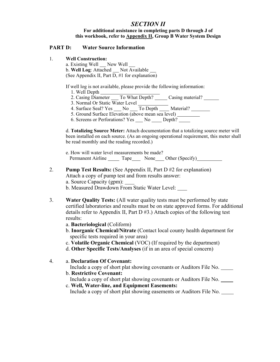#### *SECTION II*  **For additional assistance in completing parts D through J of this workbook, refer to Appendix II, Group B Water System Design**

#### **PART D: Water Source Information**

1. **Well Construction:**

 a. Existing Well New Well b. Well Log: Attached \_\_ Not Available \_\_ (See Appendix II, Part  $\overline{D, \#1}$  for explanation)

If well log is not available, please provide the following information:

- 1. Well Depth
- 2. Casing Diameter To What Depth? Casing material?
- 3. Normal Or Static Water Level
- 4. Surface Seal? Yes \_\_\_ No \_\_\_ To Depth \_\_\_ Material? \_\_\_\_\_\_
- 5. Ground Surface Elevation (above mean sea level)
- 6. Screens or Perforations? Yes \_\_\_ No \_\_\_ Depth? \_\_\_\_

 d. **Totalizing Source Meter:** Attach documentation that a totalizing source meter will been installed on each source. (As an ongoing operational requirement, this meter shall be read monthly and the reading recorded.)

- e. How will water level measurements be made? Permanent Airline Tape None Other (Specify)
- 2. **Pump Test Results:** (See Appendix II, Part D #2 for explanation) Attach a copy of pump test and from results answer:
	- a. Source Capacity (gpm):
	- b. Measured Drawdown From Static Water Level:
- 3. **Water Quality Tests:** (All water quality tests must be performed by state certified laboratories and results must be on state approved forms. For additional details refer to Appendix II, Part D #3.) Attach copies of the following test results:
	- a. **Bacteriological** (Coliform)
	- b. **Inorganic Chemical/Nitrate** (Contact local county health department for specific tests required in your area)
	- c. **Volatile Organic Chemical** (VOC) (If required by the department)
	- d. **Other Specific Tests/Analyses** (if in an area of special concern)
- 4. a. **Declaration Of Covenant:**

Include a copy of short plat showing covenants or Auditors File No.

b. **Restrictive Covenant:**

Include a copy of short plat showing covenants or Auditors File No.

 c. **Well, Water-line, and Equipment Easements:** Include a copy of short plat showing easements or Auditors File No.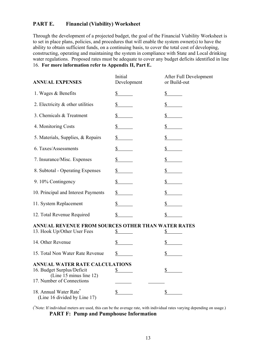#### **PART E. Financial (Viability) Worksheet**

Through the development of a projected budget, the goal of the Financial Viability Worksheet is to set in place plans, policies, and procedures that will enable the system owner(s) to have the ability to obtain sufficient funds, on a continuing basis, to cover the total cost of developing, constructing, operating and maintaining the system in compliance with State and Local drinking water regulations. Proposed rates must be adequate to cover any budget deficits identified in line 16. **For more information refer to Appendix II, Part E.**

| <b>ANNUAL EXPENSES</b>                                                                                               | Initial<br>Development | After Full Development<br>or Build-out |
|----------------------------------------------------------------------------------------------------------------------|------------------------|----------------------------------------|
| 1. Wages & Benefits                                                                                                  | \$                     | $\frac{1}{2}$                          |
| 2. Electricity $\&$ other utilities                                                                                  | \$                     | \$                                     |
| 3. Chemicals & Treatment                                                                                             | \$                     | \$                                     |
| 4. Monitoring Costs                                                                                                  | \$                     | \$                                     |
| 5. Materials, Supplies, & Repairs                                                                                    | $\mathbb{S}^-$         | $\mathbb{S}$                           |
| 6. Taxes/Assessments                                                                                                 | \$                     | \$                                     |
| 7. Insurance/Misc. Expenses                                                                                          | \$                     | \$                                     |
| 8. Subtotal - Operating Expenses                                                                                     | \$                     | \$                                     |
| 9. 10% Contingency                                                                                                   | \$                     | $\frac{1}{2}$                          |
| 10. Principal and Interest Payments                                                                                  | \$                     | \$                                     |
| 11. System Replacement                                                                                               | \$                     | \$                                     |
| 12. Total Revenue Required                                                                                           | \$                     |                                        |
| ANNUAL REVENUE FROM SOURCES OTHER THAN WATER RATES<br>13. Hook Up/Other User Fees                                    | \$                     | \$                                     |
| 14. Other Revenue                                                                                                    | \$                     | \$                                     |
| 15. Total Non Water Rate Revenue                                                                                     | \$                     | \$                                     |
| ANNUAL WATER RATE CALCULATIONS<br>16. Budget Surplus/Deficit<br>(Line 15 minus line 12)<br>17. Number of Connections | \$                     | \$                                     |
| 18. Annual Water Rate <sup>®</sup><br>(Line 16 divided by Line 17)                                                   | <u>\$</u>              | \$                                     |

( \* Note: If individual meters are used, this can be the average rate, with individual rates varying depending on usage.) **PART F: Pump and Pumphouse Information**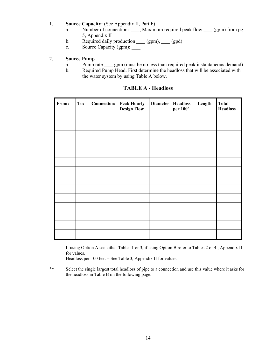- 1. **Source Capacity:** (See Appendix II, Part F)
	- a. Number of connections \_\_\_\_, Maximum required peak flow \_\_\_\_ (gpm) from pg 5, Appendix II
	- b. Required daily production  $(gpm)$ ,  $(gpd)$
	- c. Source Capacity (gpm): \_\_\_\_\_\_

#### 2. **Source Pump**

- a. Pump rate gpm (must be no less than required peak instantaneous demand)
- b. Required Pump Head. First determine the headloss that will be associated with the water system by using Table A below.

| From: | To: | <b>Connection: Peak Hourly</b><br><b>Design Flow</b> | Diameter   Headloss | per 100' | Length | <b>Total</b><br><b>Headloss</b> |
|-------|-----|------------------------------------------------------|---------------------|----------|--------|---------------------------------|
|       |     |                                                      |                     |          |        |                                 |
|       |     |                                                      |                     |          |        |                                 |
|       |     |                                                      |                     |          |        |                                 |
|       |     |                                                      |                     |          |        |                                 |
|       |     |                                                      |                     |          |        |                                 |
|       |     |                                                      |                     |          |        |                                 |
|       |     |                                                      |                     |          |        |                                 |
|       |     |                                                      |                     |          |        |                                 |
|       |     |                                                      |                     |          |        |                                 |
|       |     |                                                      |                     |          |        |                                 |
|       |     |                                                      |                     |          |        |                                 |
|       |     |                                                      |                     |          |        |                                 |
|       |     |                                                      |                     |          |        |                                 |
|       |     |                                                      |                     |          |        |                                 |

#### **TABLE A - Headloss**

 If using Option A see either Tables 1 or 3, if using Option B refer to Tables 2 or 4 , Appendix II for values.

Headloss per 100 feet = See Table 3, Appendix II for values.

\*\* Select the single largest total headloss of pipe to a connection and use this value where it asks for the headloss in Table B on the following page.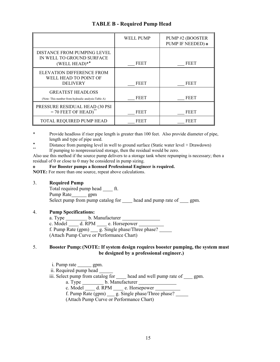|                                                                                 | <b>WELL PUMP</b> | PUMP#2 (BOOSTER<br>PUMP IF NEEDED) o |
|---------------------------------------------------------------------------------|------------------|--------------------------------------|
| DISTANCE FROM PUMPING LEVEL<br>IN WELL TO GROUND SURFACE<br>(WELL HEAD)**       | FEET             | FEET                                 |
| ELEVATION DIFFERENCE FROM<br>WELL HEAD TO POINT OF<br><b>DELIVERY</b>           | <b>FEET</b>      | FEET                                 |
| <b>GREATEST HEADLOSS</b><br>(Note: This number from hydraulic analysis-Table A) | FEET             | FEET                                 |
| PRESSURE RESIDUAL HEAD (30 PSI<br>$= 70$ FEET OF HEAD)                          | <b>FEET</b>      | FEET                                 |
| TOTAL REQUIRED PUMP HEAD                                                        | FEET             | FEET                                 |

#### **TABLE B - Required Pump Head**

\* Provide headloss if riser pipe length is greater than 100 feet. Also provide diameter of pipe, length and type of pipe used.

 $\bullet$  Distance from pumping level in well to ground surface (Static water level + Drawdown) If pumping to nonpressurized storage, then the residual would be zero.

Also use this method if the source pump delivers to a storage tank where repumping is necessary; then a residual of 0 or close to 0 may be considered in pump sizing.

#### **o For Booster pumps a licensed Professional Engineer is required.**

**NOTE:** For more than one source, repeat above calculations.

#### 3. **Required Pump**

Total required pump head  $f$ t.

Pump Rate\_\_\_\_\_\_\_ gpm

Select pump from pump catalog for <u>head and pump rate of sepm</u>.

#### 4. **Pump Specifications:**

 a. Type b. Manufacturer c. Model  $\_\_\_\_\$  d. RPM  $\_\_\$ e. Horsepower f. Pump  $\overline{\text{Rate (gpm)}}$  g. Single phase/Three phase? (Attach Pump Curve or Performance Chart)

#### 5. **Booster Pump: (NOTE: If system design requires booster pumping, the system must be designed by a professional engineer.)**

- $i.$  Pump rate  $\_\_\_\_$  gpm.
- ii. Required pump head
- iii. Select pump from catalog for \_\_\_\_ head and well pump rate of \_\_\_ gpm.
- a. Type b. Manufacturer
- c. Model \_\_\_\_\_\_\_ d. RPM \_\_\_\_\_\_\_ e. Horsepower

c. Model  $\frac{u}{v}$  d. RPM  $\frac{v}{v}$  e. Horsepower  $\frac{v}{v}$ <br>f. Pump Rate (gpm)  $\frac{u}{v}$  g. Single phase/Three phase?

(Attach Pump Curve or Performance Chart)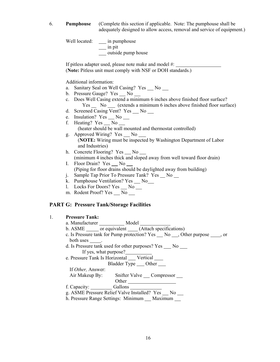6. **Pumphouse** (Complete this section if applicable. Note: The pumphouse shall be adequately designed to allow access, removal and service of equipment.)

Well located: \_\_\_\_ in pumphouse in pit outside pump house

 If pitless adapter used, please note make and model #: (**Note:** Pitless unit must comply with NSF or DOH standards.)

Additional information:

- a. Sanitary Seal on Well Casing? Yes No No
- b. Pressure Gauge? Yes \_ No \_
- c. Does Well Casing extend a minimum 6 inches above finished floor surface? Yes No Cextends a minimum 6 inches above finished floor surface)
- d. Screened Casing Vent? Yes \_\_ No \_\_
- e. Insulation?  $Yes \_\_No \_\_$
- f. Heating?  $Yes \_ No \_$ (heater should be wall mounted and thermostat controlled)
- g. Approved Wiring? Yes \_\_ No \_\_ (**NOTE:** Wiring must be inspected by Washington Department of Labor and Industries)
- h. Concrete Flooring? Yes \_\_ No \_\_ (minimum 4 inches thick and sloped away from well toward floor drain)
- I. Floor Drain? Yes No (Piping for floor drains should be daylighted away from building)
- j. Sample Tap Prior To Pressure Tank? Yes No \_\_
- k. Pumphouse Ventilation? Yes \_\_ No\_\_
- l. Locks For Doors? Yes \_\_ No \_\_
- m. Rodent Proof?  $Yes \_ No \_$

#### **PART G: Pressure Tank/Storage Facilities**

| 1. | <b>Pressure Tank:</b>                                                         |
|----|-------------------------------------------------------------------------------|
|    | a. Manufacturer ______________ Model _________                                |
|    | b. ASME _______ or equivalent ______(Attach specifications)                   |
|    | c. Is Pressure tank for Pump protection? Yes __ No __, Other purpose ____, or |
|    | both uses $\_\_\_\$ .                                                         |
|    | d. Is Pressure tank used for other purposes? Yes ____ No ____                 |
|    | If yes, what purpose?                                                         |
|    | e. Pressure Tank Is Horizontal _____ Vertical _____                           |
|    | Bladder Type ____ Other ____                                                  |
|    | If <i>Other</i> , Answer:                                                     |
|    | Air Makeup By: Snifter Valve Compressor                                       |
|    |                                                                               |
|    | f. Capacity: Gallons                                                          |
|    | g. ASME Pressure Relief Valve Installed? Yes __ No __                         |
|    | h. Pressure Range Settings: Minimum Maximum                                   |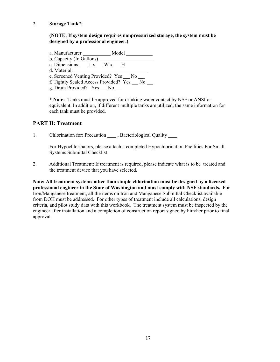2. **Storage Tank**\*:

#### **(NOTE: If system design requires nonpressurized storage, the system must be designed by a professional engineer.)**

a. Manufacturer \_\_\_\_\_\_\_\_\_\_\_\_ Model \_\_\_\_\_\_\_\_\_ b. Capacity (In Gallons) c. Dimensions:  $L x$   $W x$   $H$  d. Material: e. Screened Venting Provided? Yes \_\_ No f. Tightly Sealed Access Provided? Yes No g. Drain Provided? Yes No \_\_\_

> \* **Note:** Tanks must be approved for drinking water contact by NSF or ANSI or equivalent. In addition, if different multiple tanks are utilized, the same information for each tank must be provided.

#### **PART H: Treatment**

1. Chlorination for: Precaution \_\_\_\_\_, Bacteriological Quality \_\_\_\_\_\_

 For Hypochlorinators, please attach a completed Hypochlorination Facilities For Small Systems Submittal Checklist

2. Additional Treatment: If treatment is required, please indicate what is to be treated and the treatment device that you have selected.

**Note: All treatment systems other than simple chlorination must be designed by a licensed professional engineer in the State of Washington and must comply with NSF standards.** For Iron/Manganese treatment, all the items on Iron and Manganese Submittal Checklist available from DOH must be addressed. For other types of treatment include all calculations, design criteria, and pilot study data with this workbook. The treatment system must be inspected by the engineer after installation and a completion of construction report signed by him/her prior to final approval.